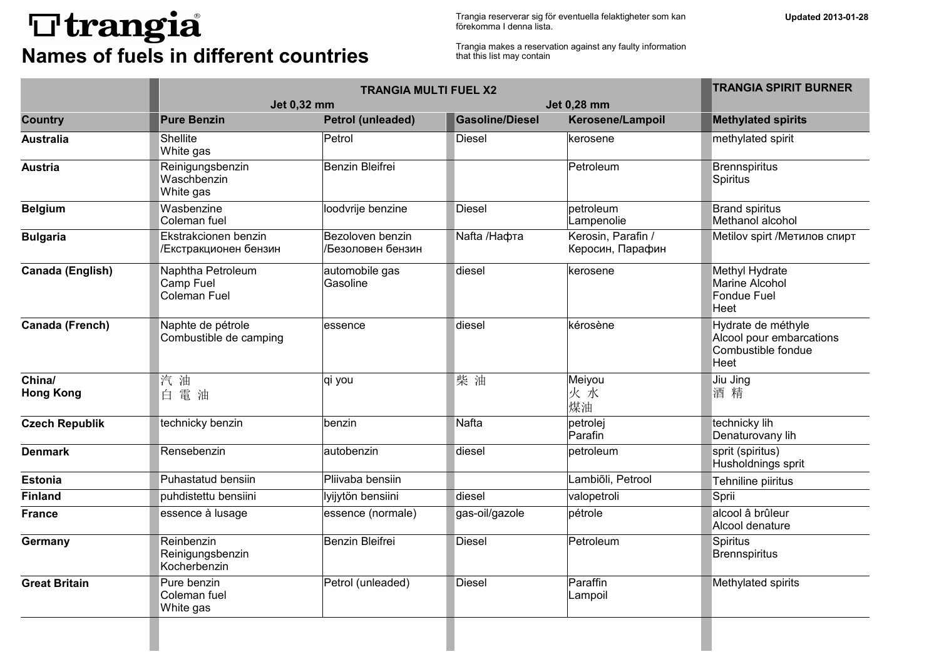## **T**trangia **Names of fuels in different countries**

Trangia reserverar sig för eventuella felaktigheter som kan förekomma I denna lista.

Trangia makes a reservation against any faulty information that this list may contain

|                            |                                                       | <b>TRANGIA MULTI FUEL X2</b>          |                        |                                        |                                                                              |  |
|----------------------------|-------------------------------------------------------|---------------------------------------|------------------------|----------------------------------------|------------------------------------------------------------------------------|--|
|                            | Jet 0,32 mm                                           |                                       |                        | Jet 0,28 mm                            |                                                                              |  |
| <b>Country</b>             | <b>Pure Benzin</b>                                    | Petrol (unleaded)                     | <b>Gasoline/Diesel</b> | Kerosene/Lampoil                       | <b>Methylated spirits</b>                                                    |  |
| <b>Australia</b>           | Shellite<br>White gas                                 | Petrol                                | Diesel                 | kerosene                               | methylated spirit                                                            |  |
| <b>Austria</b>             | Reinigungsbenzin<br>Waschbenzin<br>White gas          | <b>Benzin Bleifrei</b>                |                        | Petroleum                              | <b>Brennspiritus</b><br>Spiritus                                             |  |
| <b>Belgium</b>             | Wasbenzine<br>Coleman fuel                            | loodvrije benzine                     | Diesel                 | petroleum<br>Lampenolie                | <b>Brand spiritus</b><br>Methanol alcohol                                    |  |
| <b>Bulgaria</b>            | Ekstrakcionen benzin<br>/Екстракционен бензин         | Bezoloven benzin<br>/Безоловен бензин | Nafta /Нафта           | Kerosin, Parafin /<br>Керосин, Парафин | Metilov spirt / Метилов спирт                                                |  |
| Canada (English)           | Naphtha Petroleum<br>Camp Fuel<br><b>Coleman Fuel</b> | automobile gas<br>Gasoline            | diesel                 | kerosene                               | Methyl Hydrate<br>Marine Alcohol<br>Fondue Fuel<br>Heet                      |  |
| Canada (French)            | Naphte de pétrole<br>Combustible de camping           | lessence                              | diesel                 | kérosène                               | Hydrate de méthyle<br>Alcool pour embarcations<br>Combustible fondue<br>Heet |  |
| China/<br><b>Hong Kong</b> | 汽 油<br>白電油                                            | qi you                                | 柴油                     | Meiyou<br>火水<br>煤油                     | Jiu Jing<br>酒精                                                               |  |
| <b>Czech Republik</b>      | technicky benzin                                      | benzin                                | Nafta                  | petrolej<br>Parafin                    | technicky lih<br>Denaturovany lih                                            |  |
| <b>Denmark</b>             | Rensebenzin                                           | autobenzin                            | diesel                 | petroleum                              | sprit (spiritus)<br>Husholdnings sprit                                       |  |
| <b>Estonia</b>             | Puhastatud bensiin                                    | Pliivaba bensiin                      |                        | Lambiõli, Petrool                      | Tehniline piiritus                                                           |  |
| <b>Finland</b>             | puhdistettu bensiini                                  | lyijytön bensiini                     | diesel                 | valopetroli                            | Sprii                                                                        |  |
| France                     | essence à lusage                                      | essence (normale)                     | gas-oil/gazole         | pétrole                                | alcool â brûleur<br>Alcool denature                                          |  |
| Germany                    | Reinbenzin<br>Reinigungsbenzin<br>Kocherbenzin        | Benzin Bleifrei                       | Diesel                 | Petroleum                              | <b>Spiritus</b><br><b>Brennspiritus</b>                                      |  |
| <b>Great Britain</b>       | Pure benzin<br>Coleman fuel<br>White gas              | Petrol (unleaded)                     | Diesel                 | Paraffin<br>Lampoil                    | Methylated spirits                                                           |  |
|                            |                                                       |                                       |                        |                                        |                                                                              |  |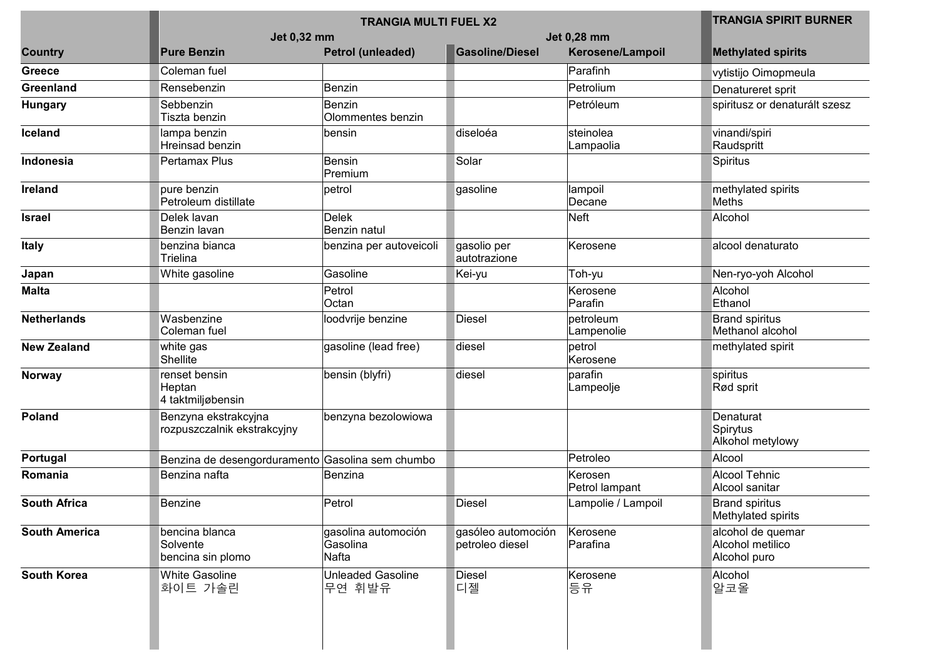|                      |                                                     | <b>TRANGIA SPIRIT BURNER</b>             |                                       |                           |                                                       |
|----------------------|-----------------------------------------------------|------------------------------------------|---------------------------------------|---------------------------|-------------------------------------------------------|
|                      | Jet 0,32 mm                                         |                                          |                                       |                           |                                                       |
| <b>Country</b>       | <b>Pure Benzin</b>                                  | <b>Petrol (unleaded)</b>                 | <b>Gasoline/Diesel</b>                | Kerosene/Lampoil          | <b>Methylated spirits</b>                             |
| <b>Greece</b>        | Coleman fuel                                        |                                          |                                       | Parafinh                  | vytistijo Oimopmeula                                  |
| Greenland            | Rensebenzin                                         | Benzin                                   |                                       | Petrolium                 | Denatureret sprit                                     |
| <b>Hungary</b>       | Sebbenzin<br>Tiszta benzin                          | Benzin<br>Olommentes benzin              |                                       | Petróleum                 | spiritusz or denaturált szesz                         |
| Iceland              | lampa benzin<br>Hreinsad benzin                     | bensin                                   | diseloéa                              | steinolea<br>Lampaolia    | vinandi/spiri<br>Raudspritt                           |
| Indonesia            | Pertamax Plus                                       | Bensin<br>Premium                        | Solar                                 |                           | Spiritus                                              |
| Ireland              | pure benzin<br>Petroleum distillate                 | petrol                                   | gasoline                              | lampoil<br>Decane         | methylated spirits<br>Meths                           |
| <b>Israel</b>        | Delek lavan<br>Benzin lavan                         | <b>Delek</b><br>Benzin natul             |                                       | Neft                      | Alcohol                                               |
| <b>Italy</b>         | benzina bianca<br>Trielina                          | benzina per autoveicoli                  | gasolio per<br>autotrazione           | Kerosene                  | alcool denaturato                                     |
| Japan                | White gasoline                                      | Gasoline                                 | Kei-yu                                | Toh-yu                    | Nen-ryo-yoh Alcohol                                   |
| <b>Malta</b>         |                                                     | Petrol<br>Octan                          |                                       | Kerosene<br>Parafin       | Alcohol<br>Ethanol                                    |
| <b>Netherlands</b>   | Wasbenzine<br>Coleman fuel                          | loodvrije benzine                        | <b>Diesel</b>                         | petroleum<br>Lampenolie   | <b>Brand spiritus</b><br>Methanol alcohol             |
| <b>New Zealand</b>   | white gas<br>Shellite                               | gasoline (lead free)                     | diesel                                | petrol<br>Kerosene        | methylated spirit                                     |
| <b>Norway</b>        | renset bensin<br>Heptan<br>4 taktmiljøbensin        | bensin (blyfri)                          | diesel                                | parafin<br>Lampeolje      | spiritus<br>Rød sprit                                 |
| Poland               | Benzyna ekstrakcyjna<br>rozpuszczalnik ekstrakcyjny | benzyna bezolowiowa                      |                                       |                           | Denaturat<br>Spirytus<br>Alkohol metylowy             |
| Portugal             | Benzina de desengorduramento Gasolina sem chumbo    |                                          |                                       | Petroleo                  | Alcool                                                |
| Romania              | Benzina nafta                                       | Benzina                                  |                                       | Kerosen<br>Petrol lampant | <b>Alcool Tehnic</b><br>Alcool sanitar                |
| <b>South Africa</b>  | <b>Benzine</b>                                      | Petrol                                   | Diesel                                | Lampolie / Lampoil        | <b>Brand spiritus</b><br>Methylated spirits           |
| <b>South America</b> | bencina blanca<br>Solvente<br>bencina sin plomo     | gasolina automoción<br>Gasolina<br>Nafta | gasóleo automoción<br>petroleo diesel | Kerosene<br>Parafina      | alcohol de quemar<br>Alcohol metilico<br>Alcohol puro |
| <b>South Korea</b>   | <b>White Gasoline</b><br>화이트 가솔린                    | <b>Unleaded Gasoline</b><br>무연 휘발유       | <b>Diesel</b><br>디젤                   | Kerosene<br>등유            | Alcohol<br>알코올                                        |